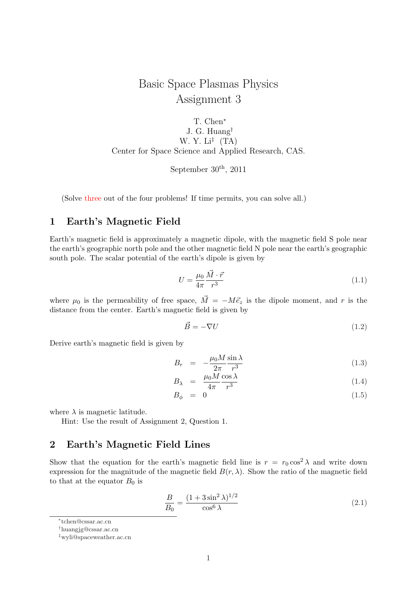# Basic Space Plasmas Physics Assignment 3

T. Chen*<sup>∗</sup>* J. G. Huang*†* W. Y. Li*‡* (TA) Center for Space Science and Applied Research, CAS.

September  $30<sup>th</sup>$ , 2011

(Solve three out of the four problems! If time permits, you can solve all.)

#### **1 Earth's Magnetic Field**

Earth's magnetic field is approximately a magnetic dipole, with the magnetic field S pole near the earth's geographic north pole and the other magnetic field N pole near the earth's geographic south pole. The scalar potential of the earth's dipole is given by

$$
U = \frac{\mu_0}{4\pi} \frac{\vec{M} \cdot \vec{r}}{r^3} \tag{1.1}
$$

where  $\mu_0$  is the permeability of free space,  $\vec{M} = -M\vec{e}_z$  is the dipole moment, and r is the distance from the center. Earth's magnetic field is given by

$$
\vec{B} = -\nabla U\tag{1.2}
$$

Derive earth's magnetic field is given by

$$
B_r = -\frac{\mu_0 M}{2\pi} \frac{\sin \lambda}{r^3} \tag{1.3}
$$

$$
B_{\lambda} = \frac{\mu_0 M}{4\pi} \frac{\cos \lambda}{r^3} \tag{1.4}
$$

$$
B_{\phi} = 0 \tag{1.5}
$$

where  $\lambda$  is magnetic latitude.

Hint: Use the result of Assignment 2, Question 1.

#### **2 Earth's Magnetic Field Lines**

Show that the equation for the earth's magnetic field line is  $r = r_0 \cos^2 \lambda$  and write down expression for the magnitude of the magnetic field  $B(r, \lambda)$ . Show the ratio of the magnetic field to that at the equator  $B_0$  is

$$
\frac{B}{B_0} = \frac{(1 + 3\sin^2\lambda)^{1/2}}{\cos^6\lambda}
$$
 (2.1)

*<sup>∗</sup>* tchen@cssar.ac.cn

*<sup>†</sup>*huangjg@cssar.ac.cn

*<sup>‡</sup>*wyli@spaceweather.ac.cn